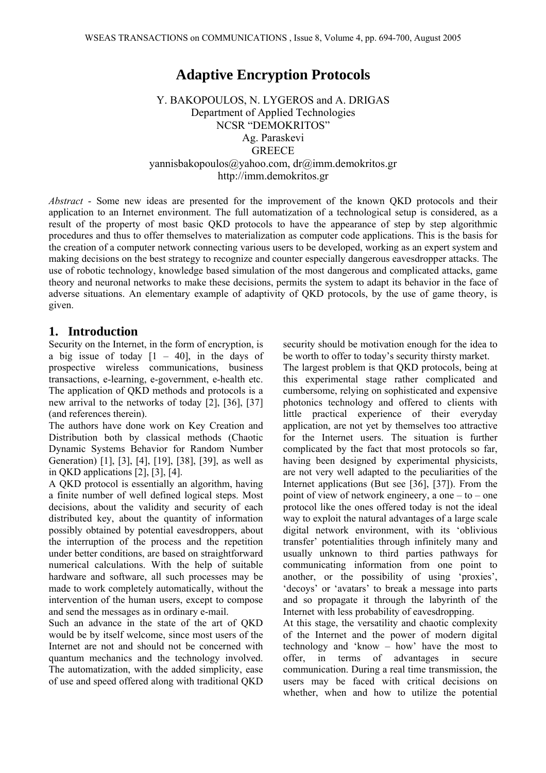# **Adaptive Encryption Protocols**

Y. BAKOPOULOS, N. LYGEROS and A. DRIGAS Department of Applied Technologies NCSR "DEMOKRITOS" Ag. Paraskevi **GREECE** yannisbakopoulos@yahoo.com, dr@imm.demokritos.gr http://imm.demokritos.gr

*Abstract* - Some new ideas are presented for the improvement of the known QKD protocols and their application to an Internet environment. The full automatization of a technological setup is considered, as a result of the property of most basic QKD protocols to have the appearance of step by step algorithmic procedures and thus to offer themselves to materialization as computer code applications. This is the basis for the creation of a computer network connecting various users to be developed, working as an expert system and making decisions on the best strategy to recognize and counter especially dangerous eavesdropper attacks. The use of robotic technology, knowledge based simulation of the most dangerous and complicated attacks, game theory and neuronal networks to make these decisions, permits the system to adapt its behavior in the face of adverse situations. An elementary example of adaptivity of QKD protocols, by the use of game theory, is given.

## **1. Introduction**

Security on the Internet, in the form of encryption, is a big issue of today  $[1 - 40]$ , in the days of prospective wireless communications, business transactions, e-learning, e-government, e-health etc. The application of QKD methods and protocols is a new arrival to the networks of today [2], [36], [37] (and references therein).

The authors have done work on Key Creation and Distribution both by classical methods (Chaotic Dynamic Systems Behavior for Random Number Generation) [1], [3], [4], [19], [38], [39], as well as in QKD applications [2], [3], [4].

A QKD protocol is essentially an algorithm, having a finite number of well defined logical steps. Most decisions, about the validity and security of each distributed key, about the quantity of information possibly obtained by potential eavesdroppers, about the interruption of the process and the repetition under better conditions, are based on straightforward numerical calculations. With the help of suitable hardware and software, all such processes may be made to work completely automatically, without the intervention of the human users, except to compose and send the messages as in ordinary e-mail.

Such an advance in the state of the art of QKD would be by itself welcome, since most users of the Internet are not and should not be concerned with quantum mechanics and the technology involved. The automatization, with the added simplicity, ease of use and speed offered along with traditional QKD security should be motivation enough for the idea to be worth to offer to today's security thirsty market.

The largest problem is that QKD protocols, being at this experimental stage rather complicated and cumbersome, relying on sophisticated and expensive photonics technology and offered to clients with little practical experience of their everyday application, are not yet by themselves too attractive for the Internet users. The situation is further complicated by the fact that most protocols so far, having been designed by experimental physicists, are not very well adapted to the peculiarities of the Internet applications (But see [36], [37]). From the point of view of network engineery, a one – to – one protocol like the ones offered today is not the ideal way to exploit the natural advantages of a large scale digital network environment, with its 'oblivious transfer' potentialities through infinitely many and usually unknown to third parties pathways for communicating information from one point to another, or the possibility of using 'proxies', 'decoys' or 'avatars' to break a message into parts and so propagate it through the labyrinth of the Internet with less probability of eavesdropping.

At this stage, the versatility and chaotic complexity of the Internet and the power of modern digital technology and 'know – how' have the most to offer, in terms of advantages in secure communication. During a real time transmission, the users may be faced with critical decisions on whether, when and how to utilize the potential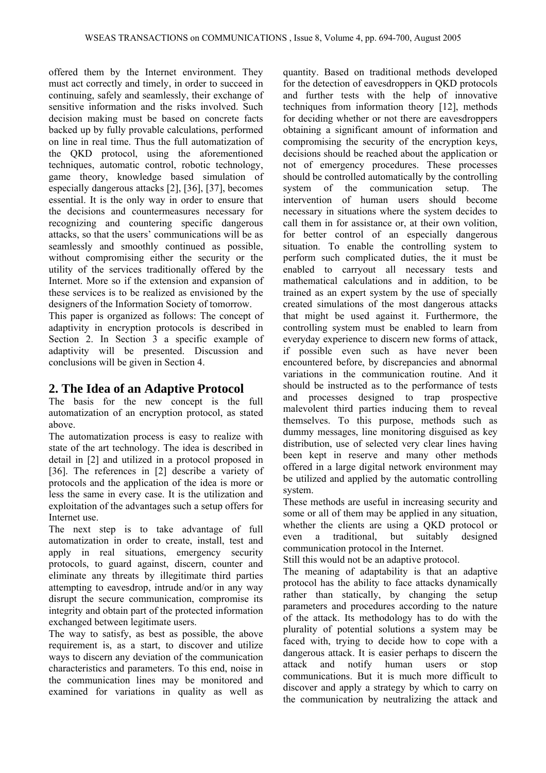offered them by the Internet environment. They must act correctly and timely, in order to succeed in continuing, safely and seamlessly, their exchange of sensitive information and the risks involved. Such decision making must be based on concrete facts backed up by fully provable calculations, performed on line in real time. Thus the full automatization of the QKD protocol, using the aforementioned techniques, automatic control, robotic technology, game theory, knowledge based simulation of especially dangerous attacks [2], [36], [37], becomes essential. It is the only way in order to ensure that the decisions and countermeasures necessary for recognizing and countering specific dangerous attacks, so that the users' communications will be as seamlessly and smoothly continued as possible, without compromising either the security or the utility of the services traditionally offered by the Internet. More so if the extension and expansion of these services is to be realized as envisioned by the designers of the Information Society of tomorrow.

This paper is organized as follows: The concept of adaptivity in encryption protocols is described in Section 2. In Section 3 a specific example of adaptivity will be presented. Discussion and conclusions will be given in Section 4.

## **2. The Idea of an Adaptive Protocol**

The basis for the new concept is the full automatization of an encryption protocol, as stated above.

The automatization process is easy to realize with state of the art technology. The idea is described in detail in [2] and utilized in a protocol proposed in [36]. The references in [2] describe a variety of protocols and the application of the idea is more or less the same in every case. It is the utilization and exploitation of the advantages such a setup offers for Internet use.

The next step is to take advantage of full automatization in order to create, install, test and apply in real situations, emergency security protocols, to guard against, discern, counter and eliminate any threats by illegitimate third parties attempting to eavesdrop, intrude and/or in any way disrupt the secure communication, compromise its integrity and obtain part of the protected information exchanged between legitimate users.

The way to satisfy, as best as possible, the above requirement is, as a start, to discover and utilize ways to discern any deviation of the communication characteristics and parameters. To this end, noise in the communication lines may be monitored and examined for variations in quality as well as quantity. Based on traditional methods developed for the detection of eavesdroppers in QKD protocols and further tests with the help of innovative techniques from information theory [12], methods for deciding whether or not there are eavesdroppers obtaining a significant amount of information and compromising the security of the encryption keys, decisions should be reached about the application or not of emergency procedures. These processes should be controlled automatically by the controlling system of the communication setup. The intervention of human users should become necessary in situations where the system decides to call them in for assistance or, at their own volition, for better control of an especially dangerous situation. To enable the controlling system to perform such complicated duties, the it must be enabled to carryout all necessary tests and mathematical calculations and in addition, to be trained as an expert system by the use of specially created simulations of the most dangerous attacks that might be used against it. Furthermore, the controlling system must be enabled to learn from everyday experience to discern new forms of attack, if possible even such as have never been encountered before, by discrepancies and abnormal variations in the communication routine. And it should be instructed as to the performance of tests and processes designed to trap prospective malevolent third parties inducing them to reveal themselves. To this purpose, methods such as dummy messages, line monitoring disguised as key distribution, use of selected very clear lines having been kept in reserve and many other methods offered in a large digital network environment may be utilized and applied by the automatic controlling system.

These methods are useful in increasing security and some or all of them may be applied in any situation, whether the clients are using a QKD protocol or even a traditional, but suitably designed communication protocol in the Internet.

Still this would not be an adaptive protocol.

The meaning of adaptability is that an adaptive protocol has the ability to face attacks dynamically rather than statically, by changing the setup parameters and procedures according to the nature of the attack. Its methodology has to do with the plurality of potential solutions a system may be faced with, trying to decide how to cope with a dangerous attack. It is easier perhaps to discern the attack and notify human users or stop communications. But it is much more difficult to discover and apply a strategy by which to carry on the communication by neutralizing the attack and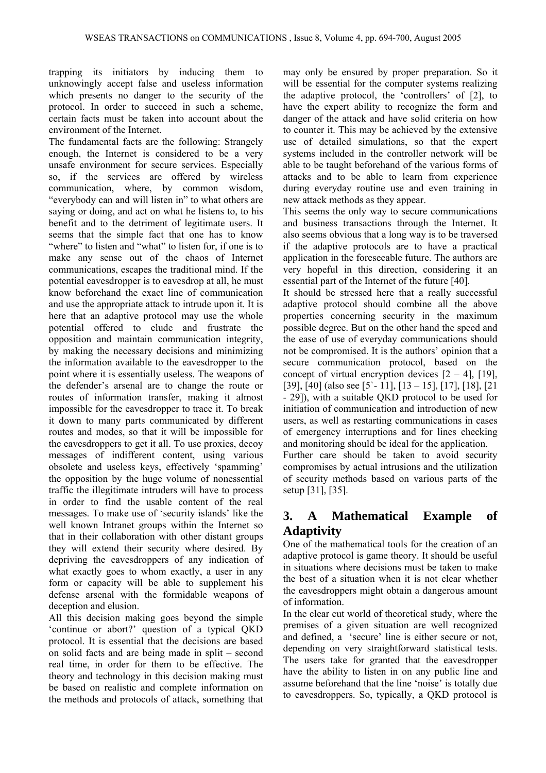trapping its initiators by inducing them to unknowingly accept false and useless information which presents no danger to the security of the protocol. In order to succeed in such a scheme, certain facts must be taken into account about the environment of the Internet.

The fundamental facts are the following: Strangely enough, the Internet is considered to be a very unsafe environment for secure services. Especially so, if the services are offered by wireless communication, where, by common wisdom, "everybody can and will listen in" to what others are saying or doing, and act on what he listens to, to his benefit and to the detriment of legitimate users. It seems that the simple fact that one has to know "where" to listen and "what" to listen for, if one is to make any sense out of the chaos of Internet communications, escapes the traditional mind. If the potential eavesdropper is to eavesdrop at all, he must know beforehand the exact line of communication and use the appropriate attack to intrude upon it. It is here that an adaptive protocol may use the whole potential offered to elude and frustrate the opposition and maintain communication integrity, by making the necessary decisions and minimizing the information available to the eavesdropper to the point where it is essentially useless. The weapons of the defender's arsenal are to change the route or routes of information transfer, making it almost impossible for the eavesdropper to trace it. To break it down to many parts communicated by different routes and modes, so that it will be impossible for the eavesdroppers to get it all. To use proxies, decoy messages of indifferent content, using various obsolete and useless keys, effectively 'spamming' the opposition by the huge volume of nonessential traffic the illegitimate intruders will have to process in order to find the usable content of the real messages. To make use of 'security islands' like the well known Intranet groups within the Internet so that in their collaboration with other distant groups they will extend their security where desired. By depriving the eavesdroppers of any indication of what exactly goes to whom exactly, a user in any form or capacity will be able to supplement his defense arsenal with the formidable weapons of deception and elusion.

All this decision making goes beyond the simple 'continue or abort?' question of a typical QKD protocol. It is essential that the decisions are based on solid facts and are being made in split – second real time, in order for them to be effective. The theory and technology in this decision making must be based on realistic and complete information on the methods and protocols of attack, something that may only be ensured by proper preparation. So it will be essential for the computer systems realizing the adaptive protocol, the 'controllers' of [2], to have the expert ability to recognize the form and danger of the attack and have solid criteria on how to counter it. This may be achieved by the extensive use of detailed simulations, so that the expert systems included in the controller network will be able to be taught beforehand of the various forms of attacks and to be able to learn from experience during everyday routine use and even training in new attack methods as they appear.

This seems the only way to secure communications and business transactions through the Internet. It also seems obvious that a long way is to be traversed if the adaptive protocols are to have a practical application in the foreseeable future. The authors are very hopeful in this direction, considering it an essential part of the Internet of the future [40].

It should be stressed here that a really successful adaptive protocol should combine all the above properties concerning security in the maximum possible degree. But on the other hand the speed and the ease of use of everyday communications should not be compromised. It is the authors' opinion that a secure communication protocol, based on the concept of virtual encryption devices  $[2 - 4]$ ,  $[19]$ , [39], [40] (also see [5`- 11], [13 – 15], [17], [18], [21 - 29]), with a suitable QKD protocol to be used for initiation of communication and introduction of new users, as well as restarting communications in cases of emergency interruptions and for lines checking and monitoring should be ideal for the application.

Further care should be taken to avoid security compromises by actual intrusions and the utilization of security methods based on various parts of the setup [31], [35].

## **3. A Mathematical Example of Adaptivity**

One of the mathematical tools for the creation of an adaptive protocol is game theory. It should be useful in situations where decisions must be taken to make the best of a situation when it is not clear whether the eavesdroppers might obtain a dangerous amount of information.

In the clear cut world of theoretical study, where the premises of a given situation are well recognized and defined, a 'secure' line is either secure or not, depending on very straightforward statistical tests. The users take for granted that the eavesdropper have the ability to listen in on any public line and assume beforehand that the line 'noise' is totally due to eavesdroppers. So, typically, a QKD protocol is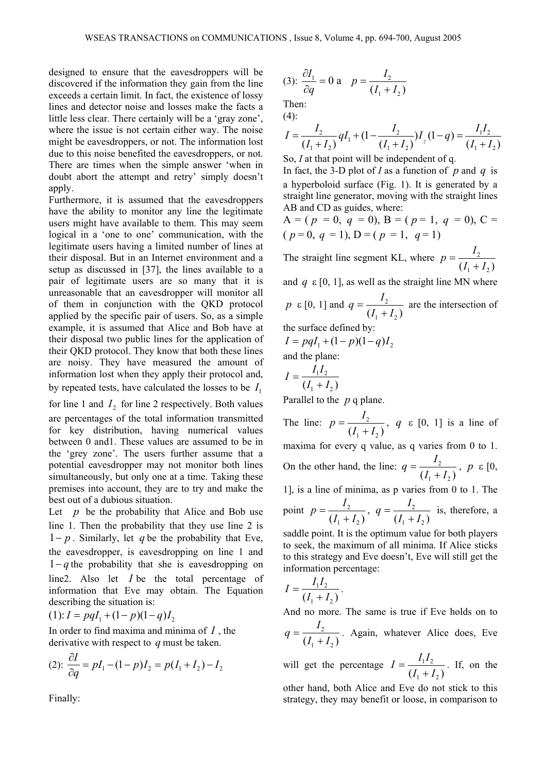designed to ensure that the eavesdroppers will be discovered if the information they gain from the line exceeds a certain limit. In fact, the existence of lossy lines and detector noise and losses make the facts a little less clear. There certainly will be a 'gray zone', where the issue is not certain either way. The noise might be eavesdroppers, or not. The information lost due to this noise benefited the eavesdroppers, or not. There are times when the simple answer 'when in doubt abort the attempt and retry' simply doesn't apply.

Furthermore, it is assumed that the eavesdroppers have the ability to monitor any line the legitimate users might have available to them. This may seem logical in a 'one to one' communication, with the legitimate users having a limited number of lines at their disposal. But in an Internet environment and a setup as discussed in [37], the lines available to a pair of legitimate users are so many that it is unreasonable that an eavesdropper will monitor all of them in conjunction with the QKD protocol applied by the specific pair of users. So, as a simple example, it is assumed that Alice and Bob have at their disposal two public lines for the application of their QKD protocol. They know that both these lines are noisy. They have measured the amount of information lost when they apply their protocol and, by repeated tests, have calculated the losses to be  $I_1$ 

for line 1 and  $I_2$  for line 2 respectively. Both values are percentages of the total information transmitted for key distribution, having numerical values between 0 and1. These values are assumed to be in the 'grey zone'. The users further assume that a potential eavesdropper may not monitor both lines simultaneously, but only one at a time. Taking these premises into account, they are to try and make the best out of a dubious situation.

Let  $p$  be the probability that Alice and Bob use line 1. Then the probability that they use line 2 is 1− *p* . Similarly, let *q* be the probability that Eve, the eavesdropper, is eavesdropping on line 1 and 1− *q* the probability that she is eavesdropping on line2. Also let *I* be the total percentage of information that Eve may obtain. The Equation describing the situation is:

$$
(1): I = pqI_1 + (1-p)(1-q)I_2
$$

In order to find maxima and minima of *I* , the derivative with respect to *q* must be taken.

(2): 
$$
\frac{\partial I}{\partial q} = pI_1 - (1 - p)I_2 = p(I_1 + I_2) - I_2
$$

Finally:

(3): 
$$
\frac{\partial I_1}{\partial q} = 0
$$
 a  $p = \frac{I_2}{(I_1 + I_2)}$ 

Then:  $(4)$ :

$$
I = \frac{I_2}{(I_1 + I_2)} qI_1 + (1 - \frac{I_2}{(I_1 + I_2)}) I_2 (1 - q) = \frac{I_1 I_2}{(I_1 + I_2)}
$$

So, *I* at that point will be independent of q.

In fact, the 3-D plot of *I* as a function of *p* and *q* is a hyperboloid surface (Fig. 1). It is generated by a straight line generator, moving with the straight lines AB and CD as guides, where:

$$
A = (p = 0, q = 0), B = (p = 1, q = 0), C =
$$
  
(p = 0, q = 1), D = (p = 1, q = 1)

The straight line segment KL, where  $p = \frac{I_2}{I_1}$  $(I_1 + I_2)$  $p = \frac{I_2}{(I_1 + I_2)}$ 

and  $q \in [0, 1]$ , as well as the straight line MN where

$$
p \in [0, 1]
$$
 and  $q = \frac{I_2}{(I_1 + I_2)}$  are the intersection of

the surface defined by:

$$
I = pqI_1 + (1-p)(1-q)I_2
$$
  
and the plane:

$$
I = \frac{I_1 I_2}{(I_1 + I_2)}
$$

Parallel to the *p* q plane.

The line:  $p = \frac{r_2}{r_1}$  $(I_1 + I_2)$  $p = \frac{I_2}{(I_1 + I_2)}$ , *q* ε [0, 1] is a line of maxima for every q value, as q varies from 0 to 1. On the other hand, the line:  $q = \frac{I_2}{I_1}$  $(I_1 + I_2)$  $q = \frac{I_2}{(I_1 + I_2)}$ ,  $p \in [0, 1]$ 1], is a line of minima, as p varies from 0 to 1. The point  $p = \frac{I_2}{I_1}$  $(I_1 + I_2)$  $p = \frac{I_2}{(I_1 + I_2)}, q = \frac{I_2}{(I_1 + I_2)}$  $q = \frac{I_2}{(I_1 + I_2)}$  is, therefore, a saddle point. It is the optimum value for both players

to seek, the maximum of all minima. If Alice sticks to this strategy and Eve doesn't, Eve will still get the information percentage:

$$
I = \frac{I_1 I_2}{(I_1 + I_2)}.
$$

And no more. The same is true if Eve holds on to 2  $(I_1 + I_2)$  $q = \frac{I_2}{(I_1 + I_2)}$ . Again, whatever Alice does, Eve

will get the percentage  $I = \frac{I_1 I_2}{I_1 I_2}$  $(I_1 + I_2)$  $I = \frac{I_1 I_2}{(I_1 + I_2)}$ . If, on the other hand, both Alice and Eve do not stick to this strategy, they may benefit or loose, in comparison to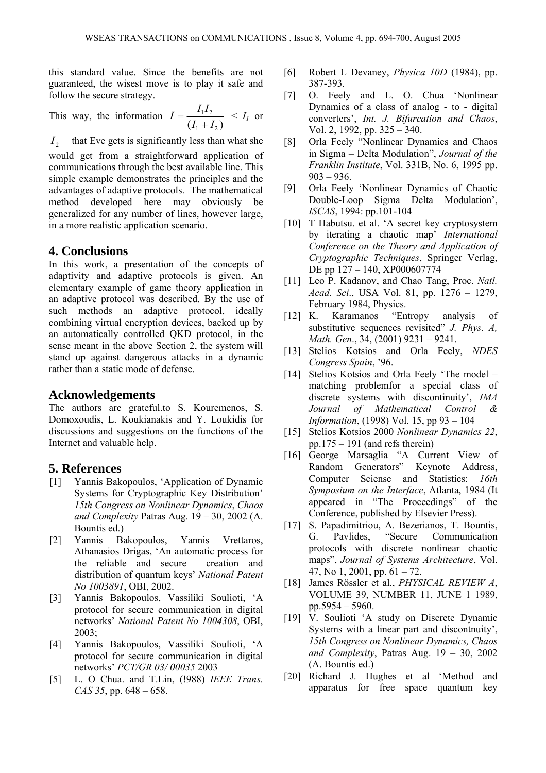this standard value. Since the benefits are not guaranteed, the wisest move is to play it safe and follow the secure strategy.

This way, the information 
$$
I = \frac{I_1 I_2}{(I_1 + I_2)}
$$
 < I<sub>I</sub> or

 $I_2$  that Eve gets is significantly less than what she would get from a straightforward application of communications through the best available line. This simple example demonstrates the principles and the advantages of adaptive protocols. The mathematical method developed here may obviously be generalized for any number of lines, however large,

in a more realistic application scenario.

## **4. Conclusions**

In this work, a presentation of the concepts of adaptivity and adaptive protocols is given. An elementary example of game theory application in an adaptive protocol was described. By the use of such methods an adaptive protocol, ideally combining virtual encryption devices, backed up by an automatically controlled QKD protocol, in the sense meant in the above Section 2, the system will stand up against dangerous attacks in a dynamic rather than a static mode of defense.

#### **Acknowledgements**

The authors are grateful.to S. Kouremenos, S. Domoxoudis, L. Koukianakis and Y. Loukidis for discussions and suggestions on the functions of the Internet and valuable help.

### **5. References**

- [1] Yannis Bakopoulos, 'Application of Dynamic Systems for Cryptographic Key Distribution' *15th Congress on Nonlinear Dynamics*, *Chaos and Complexity* Patras Aug. 19 – 30, 2002 (A. Bountis ed.)
- [2] Yannis Bakopoulos, Yannis Vrettaros, Athanasios Drigas, 'An automatic process for the reliable and secure creation and distribution of quantum keys' *National Patent Νο 1003891*, ΟΒΙ, 2002.
- [3] Yannis Bakopoulos, Vassiliki Soulioti, 'A protocol for secure communication in digital networks' *National Patent Νο 1004308*, ΟΒΙ, 2003;
- [4] Yannis Bakopoulos, Vassiliki Soulioti, 'A protocol for secure communication in digital networks' *PCT/GR 03/ 00035* 2003
- [5] L. O Chua. and T.Lin, (!988) *IEEE Trans. CAS 35*, pp. 648 – 658.
- [6] Robert L Devaney, *Physica 10D* (1984), pp. 387-393.
- [7] O. Feely and L. O. Chua 'Nonlinear Dynamics of a class of analog - to - digital converters', *Int. J. Bifurcation and Chaos*, Vol. 2, 1992, pp. 325 – 340.
- [8] Orla Feely "Nonlinear Dynamics and Chaos in Sigma – Delta Modulation", *Journal of the Franklin Institute*, Vol. 331B, No. 6, 1995 pp.  $903 - 936$ .
- [9] Orla Feely 'Nonlinear Dynamics of Chaotic Double-Loop Sigma Delta Modulation', *ISCAS*, 1994: pp.101-104
- [10] T Habutsu. et al. 'A secret key cryptosystem by iterating a chaotic map' *International Conference on the Theory and Application of Cryptographic Techniques*, Springer Verlag, DE pp 127 – 140, XP000607774
- [11] Leo P. Kadanov, and Chao Tang, Proc. *Natl. Acad. Sci*., USA Vol. 81, pp. 1276 – 1279, February 1984, Physics.
- [12] K. Karamanos "Entropy analysis of substitutive sequences revisited" *J. Phys. A, Math. Gen*., 34, (2001) 9231 – 9241.
- [13] Stelios Kotsios and Orla Feely, *NDES Congress Spain*, '96.
- [14] Stelios Kotsios and Orla Feely 'The model matching problemfor a special class of discrete systems with discontinuity', *IMA Journal of Mathematical Control & Information*, (1998) Vol. 15, pp 93 – 104
- [15] Stelios Kotsios 2000 *Nonlinear Dynamics 22*, pp.175 – 191 (and refs therein)
- [16] George Marsaglia "A Current View of Random Generators" Keynote Address, Computer Sciense and Statistics: *16th Symposium on the Interface*, Atlanta, 1984 (It appeared in "The Proceedings" of the Conference, published by Elsevier Press).
- [17] S. Papadimitriou, A. Bezerianos, T. Bountis, G. Pavlides, "Secure Communication protocols with discrete nonlinear chaotic maps", *Journal of Systems Architecture*, Vol. 47, No 1, 2001, pp.  $61 - 72$ .
- [18] James Rössler et al., *PHYSICAL REVIEW A*, VOLUME 39, NUMBER 11, JUNE 1 1989, pp.5954 – 5960.
- [19] V. Soulioti 'A study on Discrete Dynamic Systems with a linear part and discontnuity', *15th Congress on Nonlinear Dynamics, Chaos and Complexity*, Patras Aug. 19 – 30, 2002 (A. Bountis ed.)
- [20] Richard J. Hughes et al 'Method and apparatus for free space quantum key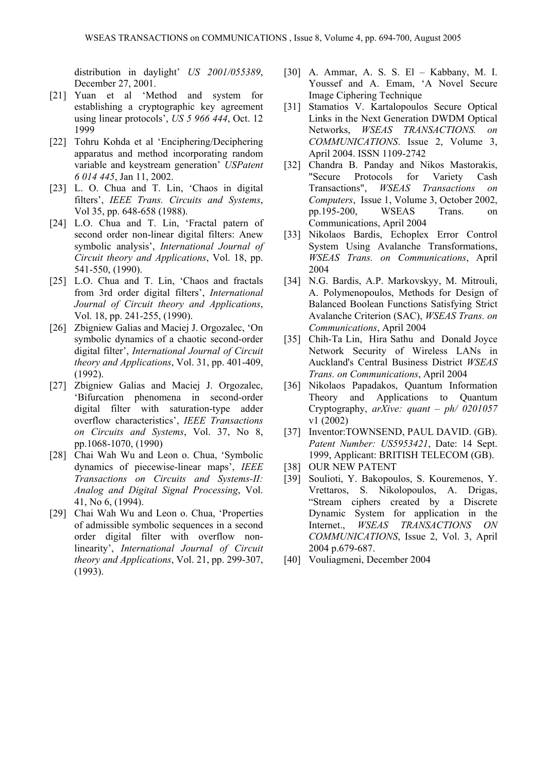distribution in daylight' *US 2001/055389*, December 27, 2001.

- [21] Yuan et al 'Method and system for establishing a cryptographic key agreement using linear protocols', *US 5 966 444*, Oct. 12 1999
- [22] Tohru Kohda et al 'Enciphering/Deciphering apparatus and method incorporating random variable and keystream generation' *USPatent 6 014 445*, Jan 11, 2002.
- [23] L. O. Chua and T. Lin, 'Chaos in digital filters', *IEEE Trans. Circuits and Systems*, Vol 35, pp. 648-658 (1988).
- [24] L.O. Chua and T. Lin, 'Fractal patern of second order non-linear digital filters: Anew symbolic analysis', *International Journal of Circuit theory and Applications*, Vol. 18, pp. 541-550, (1990).
- [25] L.O. Chua and T. Lin, 'Chaos and fractals from 3rd order digital filters', *International Journal of Circuit theory and Applications*, Vol. 18, pp. 241-255, (1990).
- [26] Zbigniew Galias and Maciej J. Orgozalec, 'On symbolic dynamics of a chaotic second-order digital filter', *International Journal of Circuit theory and Applications*, Vol. 31, pp. 401-409, (1992).
- [27] Zbigniew Galias and Maciej J. Orgozalec, 'Bifurcation phenomena in second-order digital filter with saturation-type adder overflow characteristics', *IEEE Transactions on Circuits and Systems*, Vol. 37, No 8, pp.1068-1070, (1990)
- [28] Chai Wah Wu and Leon o. Chua, 'Symbolic dynamics of piecewise-linear maps', *IEEE Transactions on Circuits and Systems-II: Analog and Digital Signal Processing*, Vol. 41, No 6, (1994).
- [29] Chai Wah Wu and Leon o. Chua, 'Properties' of admissible symbolic sequences in a second order digital filter with overflow nonlinearity', *International Journal of Circuit theory and Applications*, Vol. 21, pp. 299-307, (1993).
- [30] A. Ammar, A. S. S. El Kabbany, M. I. Youssef and A. Emam, 'A Novel Secure Image Ciphering Technique
- [31] Stamatios V. Kartalopoulos Secure Optical Links in the Next Generation DWDM Optical Networks, *WSEAS TRANSACTIONS. on COMMUNICATIONS*. Issue 2, Volume 3, April 2004. ISSN 1109-2742
- [32] Chandra B. Panday and Nikos Mastorakis, "Secure Protocols for Variety Cash Transactions", *WSEAS Transactions on Computers*, Issue 1, Volume 3, October 2002, pp.195-200, WSEAS Trans. on Communications, April 2004
- [33] Nikolaos Bardis, Echoplex Error Control System Using Avalanche Transformations, *WSEAS Trans. on Communications*, April 2004
- [34] N.G. Bardis, A.P. Markovskyy, M. Mitrouli, A. Polymenopoulos, Methods for Design of Balanced Boolean Functions Satisfying Strict Avalanche Criterion (SAC), *WSEAS Trans. on Communications*, April 2004
- [35] Chih-Ta Lin, Hira Sathu and Donald Joyce Network Security of Wireless LANs in Auckland's Central Business District *WSEAS Trans. on Communications*, April 2004
- [36] Nikolaos Papadakos, Quantum Information Theory and Applications to Quantum Cryptography, *arXive: quant – ph/ 0201057* v1 (2002)
- [37] Inventor:TOWNSEND, PAUL DAVID. (GB). *Patent Number: US5953421*, Date: 14 Sept. 1999, Applicant: BRITISH TELECOM (GB).
- [38] OUR NEW PATENT
- [39] Soulioti, Y. Bakopoulos, S. Kouremenos, Y. Vrettaros, S. Nikolopoulos, A. Drigas, "Stream ciphers created by a Discrete Dynamic System for application in the Internet., *WSEAS TRANSACTIONS ON COMMUNICATIONS*, Issue 2, Vol. 3, April 2004 p.679-687.
- [40] Vouliagmeni, December 2004